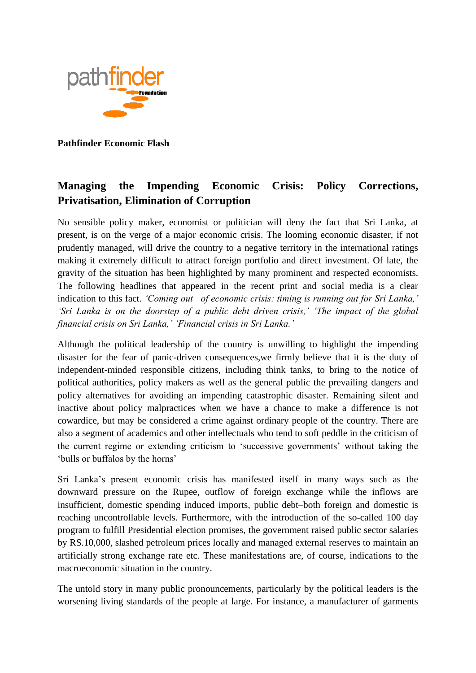

**Pathfinder Economic Flash**

# **Managing the Impending Economic Crisis: Policy Corrections, Privatisation, Elimination of Corruption**

No sensible policy maker, economist or politician will deny the fact that Sri Lanka, at present, is on the verge of a major economic crisis. The looming economic disaster, if not prudently managed, will drive the country to a negative territory in the international ratings making it extremely difficult to attract foreign portfolio and direct investment. Of late, the gravity of the situation has been highlighted by many prominent and respected economists. The following headlines that appeared in the recent print and social media is a clear indication to this fact. *'Coming out of economic crisis: timing is running out for Sri Lanka,' 'Sri Lanka is on the doorstep of a public debt driven crisis,' 'The impact of the global financial crisis on Sri Lanka,' 'Financial crisis in Sri Lanka.'*

Although the political leadership of the country is unwilling to highlight the impending disaster for the fear of panic-driven consequences,we firmly believe that it is the duty of independent-minded responsible citizens, including think tanks, to bring to the notice of political authorities, policy makers as well as the general public the prevailing dangers and policy alternatives for avoiding an impending catastrophic disaster. Remaining silent and inactive about policy malpractices when we have a chance to make a difference is not cowardice, but may be considered a crime against ordinary people of the country. There are also a segment of academics and other intellectuals who tend to soft peddle in the criticism of the current regime or extending criticism to 'successive governments' without taking the 'bulls or buffalos by the horns'

Sri Lanka's present economic crisis has manifested itself in many ways such as the downward pressure on the Rupee, outflow of foreign exchange while the inflows are insufficient, domestic spending induced imports, public debt–both foreign and domestic is reaching uncontrollable levels. Furthermore, with the introduction of the so-called 100 day program to fulfill Presidential election promises, the government raised public sector salaries by RS.10,000, slashed petroleum prices locally and managed external reserves to maintain an artificially strong exchange rate etc. These manifestations are, of course, indications to the macroeconomic situation in the country.

The untold story in many public pronouncements, particularly by the political leaders is the worsening living standards of the people at large. For instance, a manufacturer of garments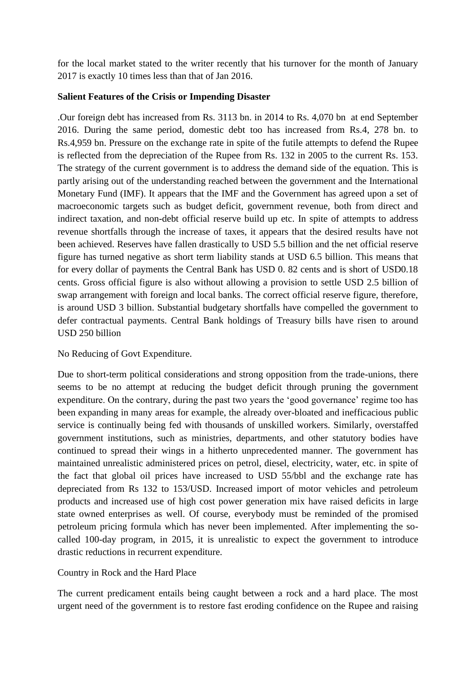for the local market stated to the writer recently that his turnover for the month of January 2017 is exactly 10 times less than that of Jan 2016.

### **Salient Features of the Crisis or Impending Disaster**

.Our foreign debt has increased from Rs. 3113 bn. in 2014 to Rs. 4,070 bn at end September 2016. During the same period, domestic debt too has increased from Rs.4, 278 bn. to Rs.4,959 bn. Pressure on the exchange rate in spite of the futile attempts to defend the Rupee is reflected from the depreciation of the Rupee from Rs. 132 in 2005 to the current Rs. 153. The strategy of the current government is to address the demand side of the equation. This is partly arising out of the understanding reached between the government and the International Monetary Fund (IMF). It appears that the IMF and the Government has agreed upon a set of macroeconomic targets such as budget deficit, government revenue, both from direct and indirect taxation, and non-debt official reserve build up etc. In spite of attempts to address revenue shortfalls through the increase of taxes, it appears that the desired results have not been achieved. Reserves have fallen drastically to USD 5.5 billion and the net official reserve figure has turned negative as short term liability stands at USD 6.5 billion. This means that for every dollar of payments the Central Bank has USD 0. 82 cents and is short of USD0.18 cents. Gross official figure is also without allowing a provision to settle USD 2.5 billion of swap arrangement with foreign and local banks. The correct official reserve figure, therefore, is around USD 3 billion. Substantial budgetary shortfalls have compelled the government to defer contractual payments. Central Bank holdings of Treasury bills have risen to around USD 250 billion

## No Reducing of Govt Expenditure.

Due to short-term political considerations and strong opposition from the trade-unions, there seems to be no attempt at reducing the budget deficit through pruning the government expenditure. On the contrary, during the past two years the 'good governance' regime too has been expanding in many areas for example, the already over-bloated and inefficacious public service is continually being fed with thousands of unskilled workers. Similarly, overstaffed government institutions, such as ministries, departments, and other statutory bodies have continued to spread their wings in a hitherto unprecedented manner. The government has maintained unrealistic administered prices on petrol, diesel, electricity, water, etc. in spite of the fact that global oil prices have increased to USD 55/bbl and the exchange rate has depreciated from Rs 132 to 153/USD. Increased import of motor vehicles and petroleum products and increased use of high cost power generation mix have raised deficits in large state owned enterprises as well. Of course, everybody must be reminded of the promised petroleum pricing formula which has never been implemented. After implementing the socalled 100-day program, in 2015, it is unrealistic to expect the government to introduce drastic reductions in recurrent expenditure.

## Country in Rock and the Hard Place

The current predicament entails being caught between a rock and a hard place. The most urgent need of the government is to restore fast eroding confidence on the Rupee and raising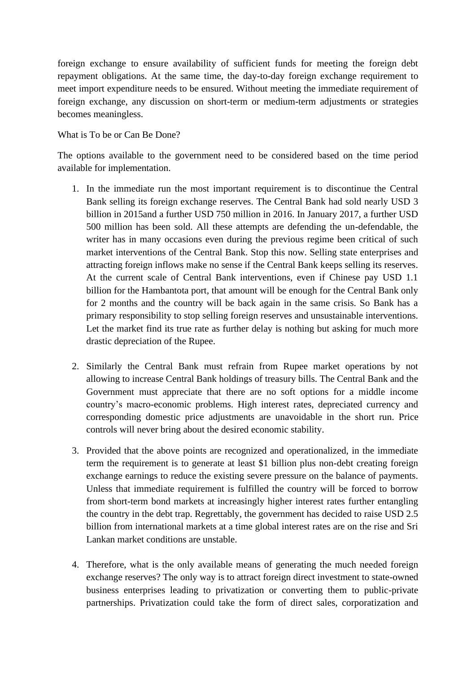foreign exchange to ensure availability of sufficient funds for meeting the foreign debt repayment obligations. At the same time, the day-to-day foreign exchange requirement to meet import expenditure needs to be ensured. Without meeting the immediate requirement of foreign exchange, any discussion on short-term or medium-term adjustments or strategies becomes meaningless.

What is To be or Can Be Done?

The options available to the government need to be considered based on the time period available for implementation.

- 1. In the immediate run the most important requirement is to discontinue the Central Bank selling its foreign exchange reserves. The Central Bank had sold nearly USD 3 billion in 2015and a further USD 750 million in 2016. In January 2017, a further USD 500 million has been sold. All these attempts are defending the un-defendable, the writer has in many occasions even during the previous regime been critical of such market interventions of the Central Bank. Stop this now. Selling state enterprises and attracting foreign inflows make no sense if the Central Bank keeps selling its reserves. At the current scale of Central Bank interventions, even if Chinese pay USD 1.1 billion for the Hambantota port, that amount will be enough for the Central Bank only for 2 months and the country will be back again in the same crisis. So Bank has a primary responsibility to stop selling foreign reserves and unsustainable interventions. Let the market find its true rate as further delay is nothing but asking for much more drastic depreciation of the Rupee.
- 2. Similarly the Central Bank must refrain from Rupee market operations by not allowing to increase Central Bank holdings of treasury bills. The Central Bank and the Government must appreciate that there are no soft options for a middle income country's macro-economic problems. High interest rates, depreciated currency and corresponding domestic price adjustments are unavoidable in the short run. Price controls will never bring about the desired economic stability.
- 3. Provided that the above points are recognized and operationalized, in the immediate term the requirement is to generate at least \$1 billion plus non-debt creating foreign exchange earnings to reduce the existing severe pressure on the balance of payments. Unless that immediate requirement is fulfilled the country will be forced to borrow from short-term bond markets at increasingly higher interest rates further entangling the country in the debt trap. Regrettably, the government has decided to raise USD 2.5 billion from international markets at a time global interest rates are on the rise and Sri Lankan market conditions are unstable.
- 4. Therefore, what is the only available means of generating the much needed foreign exchange reserves? The only way is to attract foreign direct investment to state-owned business enterprises leading to privatization or converting them to public-private partnerships. Privatization could take the form of direct sales, corporatization and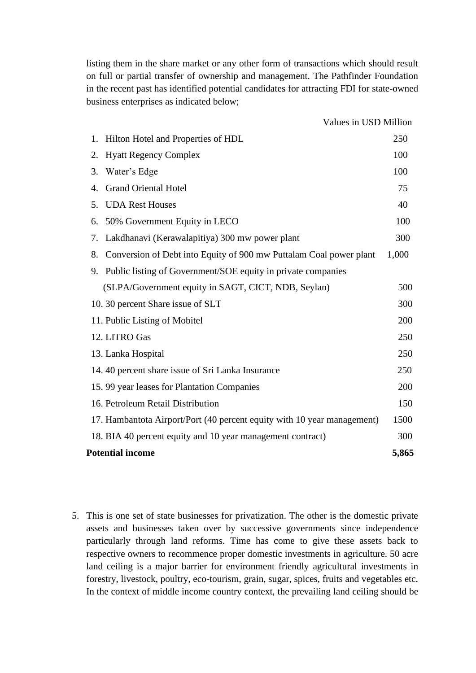listing them in the share market or any other form of transactions which should result on full or partial transfer of ownership and management. The Pathfinder Foundation in the recent past has identified potential candidates for attracting FDI for state-owned business enterprises as indicated below;

| Values in USD Million                                                    |       |
|--------------------------------------------------------------------------|-------|
| Hilton Hotel and Properties of HDL<br>1.                                 | 250   |
| <b>Hyatt Regency Complex</b><br>2.                                       | 100   |
| 3.<br>Water's Edge                                                       | 100   |
| <b>Grand Oriental Hotel</b><br>4.                                        | 75    |
| <b>UDA Rest Houses</b><br>5.                                             | 40    |
| 50% Government Equity in LECO<br>6.                                      | 100   |
| Lakdhanavi (Kerawalapitiya) 300 mw power plant<br>7.                     | 300   |
| Conversion of Debt into Equity of 900 mw Puttalam Coal power plant<br>8. | 1,000 |
| 9. Public listing of Government/SOE equity in private companies          |       |
| (SLPA/Government equity in SAGT, CICT, NDB, Seylan)                      | 500   |
| 10. 30 percent Share issue of SLT                                        | 300   |
| 11. Public Listing of Mobitel                                            | 200   |
| 12. LITRO Gas                                                            | 250   |
| 13. Lanka Hospital                                                       | 250   |
| 14.40 percent share issue of Sri Lanka Insurance                         | 250   |
| 15.99 year leases for Plantation Companies                               | 200   |
| 16. Petroleum Retail Distribution                                        | 150   |
| 17. Hambantota Airport/Port (40 percent equity with 10 year management)  | 1500  |
| 18. BIA 40 percent equity and 10 year management contract)               | 300   |
| <b>Potential income</b>                                                  | 5,865 |

5. This is one set of state businesses for privatization. The other is the domestic private assets and businesses taken over by successive governments since independence particularly through land reforms. Time has come to give these assets back to respective owners to recommence proper domestic investments in agriculture. 50 acre land ceiling is a major barrier for environment friendly agricultural investments in forestry, livestock, poultry, eco-tourism, grain, sugar, spices, fruits and vegetables etc. In the context of middle income country context, the prevailing land ceiling should be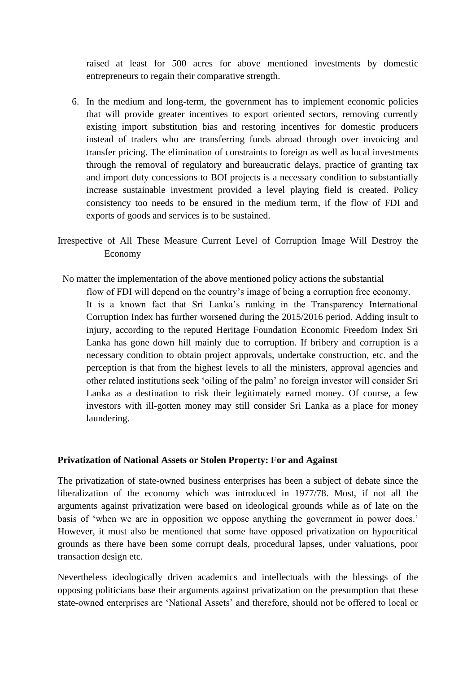raised at least for 500 acres for above mentioned investments by domestic entrepreneurs to regain their comparative strength.

- 6. In the medium and long-term, the government has to implement economic policies that will provide greater incentives to export oriented sectors, removing currently existing import substitution bias and restoring incentives for domestic producers instead of traders who are transferring funds abroad through over invoicing and transfer pricing. The elimination of constraints to foreign as well as local investments through the removal of regulatory and bureaucratic delays, practice of granting tax and import duty concessions to BOI projects is a necessary condition to substantially increase sustainable investment provided a level playing field is created. Policy consistency too needs to be ensured in the medium term, if the flow of FDI and exports of goods and services is to be sustained.
- Irrespective of All These Measure Current Level of Corruption Image Will Destroy the Economy
- No matter the implementation of the above mentioned policy actions the substantial

flow of FDI will depend on the country's image of being a corruption free economy. It is a known fact that Sri Lanka's ranking in the Transparency International Corruption Index has further worsened during the 2015/2016 period. Adding insult to injury, according to the reputed Heritage Foundation Economic Freedom Index Sri Lanka has gone down hill mainly due to corruption. If bribery and corruption is a necessary condition to obtain project approvals, undertake construction, etc. and the perception is that from the highest levels to all the ministers, approval agencies and other related institutions seek 'oiling of the palm' no foreign investor will consider Sri Lanka as a destination to risk their legitimately earned money. Of course, a few investors with ill-gotten money may still consider Sri Lanka as a place for money laundering.

#### **Privatization of National Assets or Stolen Property: For and Against**

The privatization of state-owned business enterprises has been a subject of debate since the liberalization of the economy which was introduced in 1977/78. Most, if not all the arguments against privatization were based on ideological grounds while as of late on the basis of 'when we are in opposition we oppose anything the government in power does.' However, it must also be mentioned that some have opposed privatization on hypocritical grounds as there have been some corrupt deals, procedural lapses, under valuations, poor transaction design etc.

Nevertheless ideologically driven academics and intellectuals with the blessings of the opposing politicians base their arguments against privatization on the presumption that these state-owned enterprises are 'National Assets' and therefore, should not be offered to local or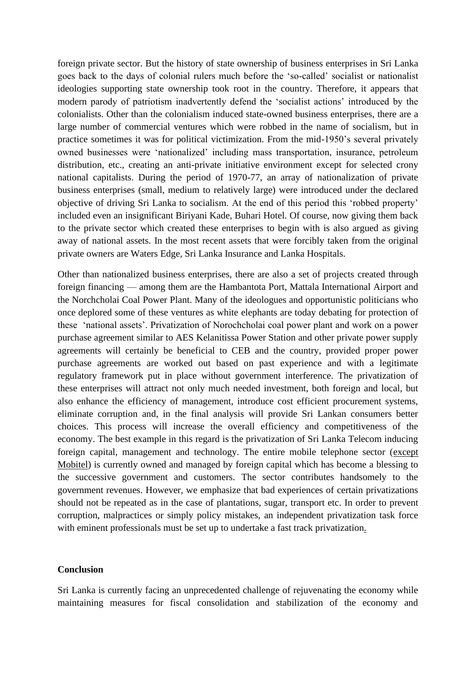foreign private sector. But the history of state ownership of business enterprises in Sri Lanka goes back to the days of colonial rulers much before the 'so-called' socialist or nationalist ideologies supporting state ownership took root in the country. Therefore, it appears that modern parody of patriotism inadvertently defend the 'socialist actions' introduced by the colonialists. Other than the colonialism induced state-owned business enterprises, there are a large number of commercial ventures which were robbed in the name of socialism, but in practice sometimes it was for political victimization. From the mid-1950's several privately owned businesses were 'nationalized' including mass transportation, insurance, petroleum distribution, etc., creating an anti-private initiative environment except for selected crony national capitalists. During the period of 1970-77, an array of nationalization of private business enterprises (small, medium to relatively large) were introduced under the declared objective of driving Sri Lanka to socialism. At the end of this period this 'robbed property' included even an insignificant Biriyani Kade, Buhari Hotel. Of course, now giving them back to the private sector which created these enterprises to begin with is also argued as giving away of national assets. In the most recent assets that were forcibly taken from the original private owners are Waters Edge, Sri Lanka Insurance and Lanka Hospitals.

Other than nationalized business enterprises, there are also a set of projects created through foreign financing — among them are the Hambantota Port, Mattala International Airport and the Norchcholai Coal Power Plant. Many of the ideologues and opportunistic politicians who once deplored some of these ventures as white elephants are today debating for protection of these 'national assets'. Privatization of Norochcholai coal power plant and work on a power purchase agreement similar to AES Kelanitissa Power Station and other private power supply agreements will certainly be beneficial to CEB and the country, provided proper power purchase agreements are worked out based on past experience and with a legitimate regulatory framework put in place without government interference. The privatization of these enterprises will attract not only much needed investment, both foreign and local, but also enhance the efficiency of management, introduce cost efficient procurement systems, eliminate corruption and, in the final analysis will provide Sri Lankan consumers better choices. This process will increase the overall efficiency and competitiveness of the economy. The best example in this regard is the privatization of Sri Lanka Telecom inducing foreign capital, management and technology. The entire mobile telephone sector (except Mobitel) is currently owned and managed by foreign capital which has become a blessing to the successive government and customers. The sector contributes handsomely to the government revenues. However, we emphasize that bad experiences of certain privatizations should not be repeated as in the case of plantations, sugar, transport etc. In order to prevent corruption, malpractices or simply policy mistakes, an independent privatization task force with eminent professionals must be set up to undertake a fast track privatization.

#### **Conclusion**

Sri Lanka is currently facing an unprecedented challenge of rejuvenating the economy while maintaining measures for fiscal consolidation and stabilization of the economy and